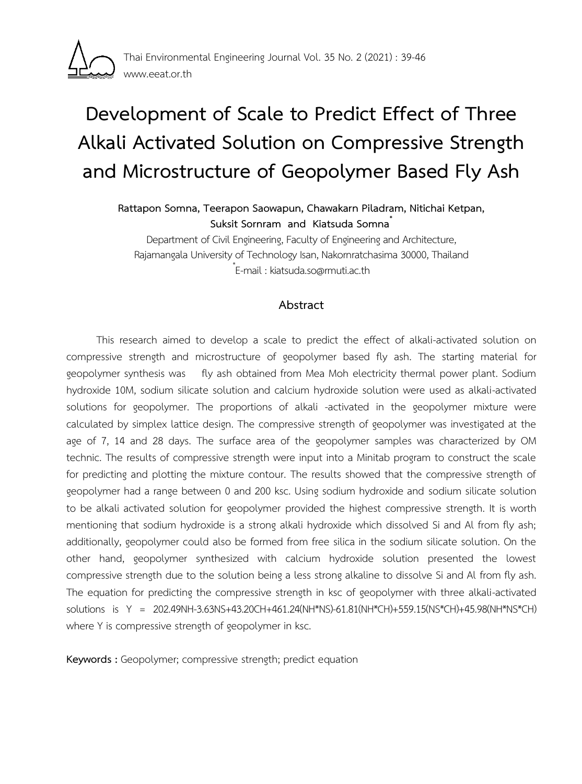

# **Development of Scale to Predict Effect of Three Alkali Activated Solution on Compressive Strength and Microstructure of Geopolymer Based Fly Ash**

**Rattapon Somna, Teerapon Saowapun, Chawakarn Piladram, Nitichai Ketpan, Suksit Sornram and Kiatsuda Somna\***

Department of Civil Engineering, Faculty of Engineering and Architecture, Rajamangala University of Technology Isan, Nakornratchasima 30000, Thailand \* E-mail : kiatsuda.so@rmuti.ac.th

## **Abstract**

This research aimed to develop a scale to predict the effect of alkali-activated solution on compressive strength and microstructure of geopolymer based fly ash. The starting material for geopolymer synthesis was fly ash obtained from Mea Moh electricity thermal power plant. Sodium hydroxide 10M, sodium silicate solution and calcium hydroxide solution were used as alkali-activated solutions for geopolymer. The proportions of alkali -activated in the geopolymer mixture were calculated by simplex lattice design. The compressive strength of geopolymer was investigated at the age of 7, 14 and 28 days. The surface area of the geopolymer samples was characterized by OM technic. The results of compressive strength were input into a Minitab program to construct the scale for predicting and plotting the mixture contour. The results showed that the compressive strength of geopolymer had a range between 0 and 200 ksc. Using sodium hydroxide and sodium silicate solution to be alkali activated solution for geopolymer provided the highest compressive strength. It is worth mentioning that sodium hydroxide is a strong alkali hydroxide which dissolved Si and Al from fly ash; additionally, geopolymer could also be formed from free silica in the sodium silicate solution. On the other hand, geopolymer synthesized with calcium hydroxide solution presented the lowest compressive strength due to the solution being a less strong alkaline to dissolve Si and Al from fly ash. The equation for predicting the compressive strength in ksc of geopolymer with three alkali-activated solutions is Y = 202.49NH-3.63NS+43.20CH+461.24(NH\*NS)-61.81(NH\*CH)+559.15(NS\*CH)+45.98(NH\*NS\*CH) where Y is compressive strength of geopolymer in ksc.

**Keywords :** Geopolymer; compressive strength; predict equation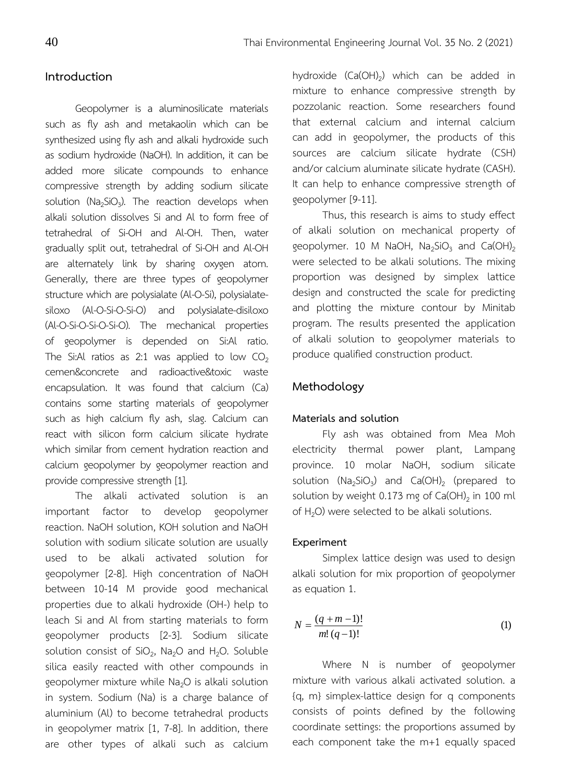### **Introduction**

Geopolymer is a aluminosilicate materials such as fly ash and metakaolin which can be synthesized using fly ash and alkali hydroxide such as sodium hydroxide (NaOH). In addition, it can be added more silicate compounds to enhance compressive strength by adding sodium silicate solution (Na<sub>2</sub>SiO<sub>3</sub>). The reaction develops when alkali solution dissolves Si and Al to form free of tetrahedral of Si-OH and Al-OH. Then, water gradually split out, tetrahedral of Si-OH and Al-OH are alternately link by sharing oxygen atom. Generally, there are three types of geopolymer structure which are polysialate (Al-O-Si), polysialatesiloxo (Al-O-Si-O-Si-O) and polysialate-disiloxo (Al-O-Si-O-Si-O-Si-O). The mechanical properties of geopolymer is depended on Si:Al ratio. The Si:Al ratios as 2:1 was applied to low  $CO<sub>2</sub>$ cemen&concrete and radioactive&toxic waste encapsulation. It was found that calcium (Ca) contains some starting materials of geopolymer such as high calcium fly ash, slag. Calcium can react with silicon form calcium silicate hydrate which similar from cement hydration reaction and calcium geopolymer by geopolymer reaction and provide compressive strength [1].

 The alkali activated solution is an important factor to develop geopolymer reaction. NaOH solution, KOH solution and NaOH solution with sodium silicate solution are usually used to be alkali activated solution for geopolymer [2-8]. High concentration of NaOH between 10-14 M provide good mechanical properties due to alkali hydroxide (OH-) help to leach Si and Al from starting materials to form geopolymer products [2-3]. Sodium silicate solution consist of  $SiO_2$ , Na<sub>2</sub>O and H<sub>2</sub>O. Soluble silica easily reacted with other compounds in geopolymer mixture while Na<sub>2</sub>O is alkali solution in system. Sodium (Na) is a charge balance of aluminium (Al) to become tetrahedral products in geopolymer matrix [1, 7-8]. In addition, there are other types of alkali such as calcium

hydroxide  $(Ca(OH)_2)$  which can be added in mixture to enhance compressive strength by pozzolanic reaction. Some researchers found that external calcium and internal calcium can add in geopolymer, the products of this sources are calcium silicate hydrate (CSH) and/or calcium aluminate silicate hydrate (CASH). It can help to enhance compressive strength of geopolymer [9-11].

 Thus, this research is aims to study effect of alkali solution on mechanical property of geopolymer. 10 M NaOH,  $Na<sub>2</sub>SiO<sub>3</sub>$  and Ca(OH)<sub>2</sub> were selected to be alkali solutions. The mixing proportion was designed by simplex lattice design and constructed the scale for predicting and plotting the mixture contour by Minitab program. The results presented the application of alkali solution to geopolymer materials to produce qualified construction product.

### **Methodology**

#### **Materials and solution**

 Fly ash was obtained from Mea Moh electricity thermal power plant, Lampang province. 10 molar NaOH, sodium silicate solution  $(Na_2SiO_3)$  and  $Ca(OH)_2$  (prepared to solution by weight 0.173 mg of  $Ca(OH)_2$  in 100 ml of  $H_2O$ ) were selected to be alkali solutions.

#### **Experiment**

Simplex lattice design was used to design alkali solution for mix proportion of geopolymer as equation 1.

$$
N = \frac{(q+m-1)!}{m!(q-1)!}
$$
 (1)

Where N is number of geopolymer mixture with various alkali activated solution. a {q, m} simplex-lattice design for q components consists of points defined by the following coordinate settings: the proportions assumed by each component take the m+1 equally spaced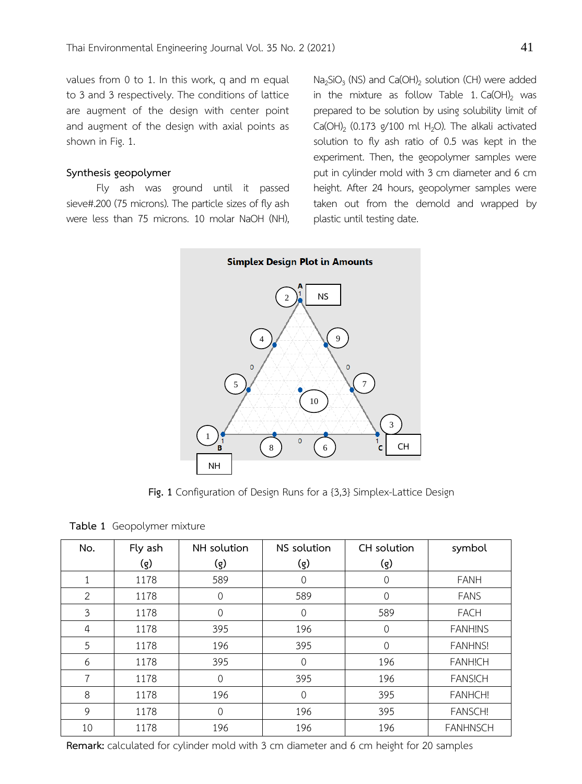values from 0 to 1. In this work, q and m equal to 3 and 3 respectively. The conditions of lattice are augment of the design with center point and augment of the design with axial points as shown in Fig. 1.

#### **Synthesis geopolymer**

Fly ash was ground until it passed sieve#.200 (75 microns). The particle sizes of fly ash were less than 75 microns. 10 molar NaOH (NH),

 $Na<sub>2</sub>SiO<sub>3</sub>$  (NS) and Ca(OH)<sub>2</sub> solution (CH) were added in the mixture as follow Table 1.  $Ca(OH)_2$  was prepared to be solution by using solubility limit of Ca(OH)<sub>2</sub> (0.173  $g/100$  ml H<sub>2</sub>O). The alkali activated solution to fly ash ratio of 0.5 was kept in the experiment. Then, the geopolymer samples were put in cylinder mold with 3 cm diameter and 6 cm height. After 24 hours, geopolymer samples were taken out from the demold and wrapped by plastic until testing date.



**Fig. 1** Configuration of Design Runs for a {3,3} Simplex-Lattice Design

| No.            | Fly ash | NH solution | NS solution | CH solution | symbol          |  |
|----------------|---------|-------------|-------------|-------------|-----------------|--|
|                | (g)     | (g)         | (g)         | (g)         |                 |  |
| $\mathbf{1}$   | 1178    | 589         | 0           | 0           | <b>FANH</b>     |  |
| 2              | 1178    | 0           | 589         | 0           | <b>FANS</b>     |  |
| 3              | 1178    | 0           | 0           | 589         | <b>FACH</b>     |  |
| $\overline{4}$ | 1178    | 395         | 196         | $\Omega$    | <b>FANHINS</b>  |  |
| 5              | 1178    | 196         | 395         | $\Omega$    | <b>FANHNS!</b>  |  |
| 6              | 1178    | 395         | 0           | 196         | <b>FANHICH</b>  |  |
| 7              | 1178    | $\mathbf 0$ | 395         | 196         | <b>FANSICH</b>  |  |
| 8              | 1178    | 196         | 0           | 395         | <b>FANHCH!</b>  |  |
| 9              | 1178    | 0           | 196         | 395         | <b>FANSCH!</b>  |  |
| 10             | 1178    | 196         | 196         | 196         | <b>FANHNSCH</b> |  |

**Table 1** Geopolymer mixture

**Remark:** calculated for cylinder mold with 3 cm diameter and 6 cm height for 20 samples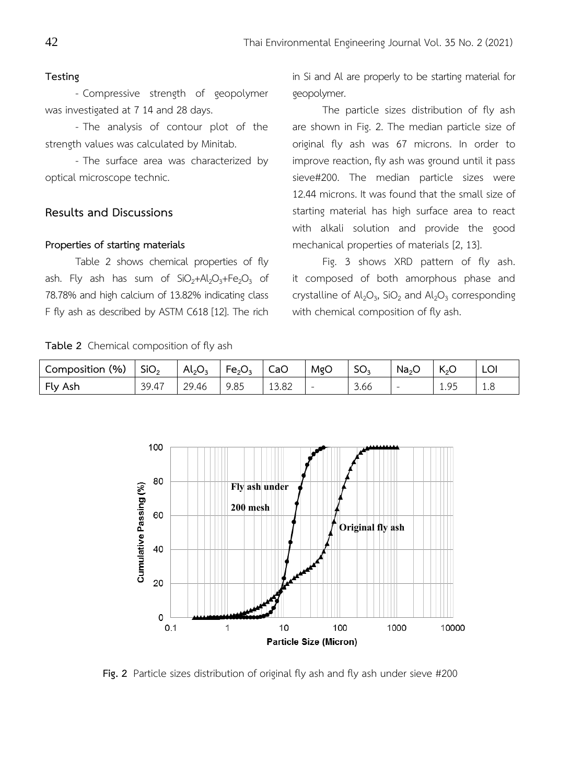#### **Testing**

- Compressive strength of geopolymer was investigated at 7 14 and 28 days.

- The analysis of contour plot of the strength values was calculated by Minitab.

- The surface area was characterized by optical microscope technic.

## **Results and Discussions**

#### **Properties of starting materials**

Table 2 shows chemical properties of fly ash. Fly ash has sum of  $SiO<sub>2</sub>+Al<sub>2</sub>O<sub>3</sub>+Fe<sub>2</sub>O<sub>3</sub>$  of 78.78% and high calcium of 13.82% indicating class F fly ash as described by ASTM C618 [12]. The rich

**Table 2** Chemical composition of fly ash

in Si and Al are properly to be starting material for geopolymer.

The particle sizes distribution of fly ash are shown in Fig. 2. The median particle size of original fly ash was 67 microns. In order to improve reaction, fly ash was ground until it pass sieve#200. The median particle sizes were 12.44 microns. It was found that the small size of starting material has high surface area to react with alkali solution and provide the good mechanical properties of materials [2, 13].

Fig. 3 shows XRD pattern of fly ash. it composed of both amorphous phase and crystalline of  $\mathsf{Al}_2\mathsf{O}_3$ , SiO<sub>2</sub> and  $\mathsf{Al}_2\mathsf{O}_3$  corresponding with chemical composition of fly ash.

| Composition (%) | SiO <sub>2</sub> | $Al_2O_3$ | $Fe_2O_3$ | CaO   | MgO                      | SO <sub>2</sub> | Na <sub>2</sub> | へっし | LOI |
|-----------------|------------------|-----------|-----------|-------|--------------------------|-----------------|-----------------|-----|-----|
| Fly Ash         | 39.47            | 29.46     | 9.85      | 13.82 | $\overline{\phantom{a}}$ | 3.66            | $\sim$          | QF. | 1.0 |



**Fig. 2** Particle sizes distribution of original fly ash and fly ash under sieve #200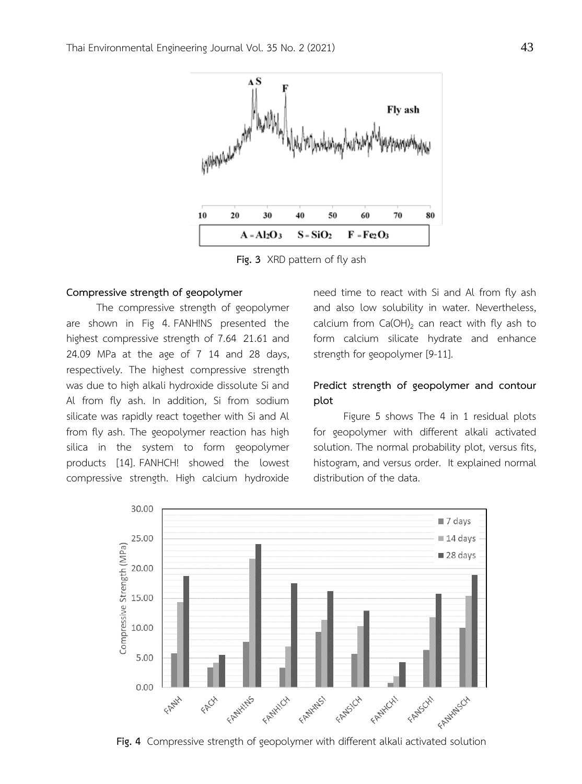

**Fig. 3** XRD pattern of fly ash

#### **Compressive strength of geopolymer**

The compressive strength of geopolymer are shown in Fig 4. FANH!NS presented the highest compressive strength of 7.64 21.61 and 24.09 MPa at the age of 7 14 and 28 days, respectively. The highest compressive strength was due to high alkali hydroxide dissolute Si and Al from fly ash. In addition, Si from sodium silicate was rapidly react together with Si and Al from fly ash. The geopolymer reaction has high silica in the system to form geopolymer products [14]. FANHCH! showed the lowest compressive strength. High calcium hydroxide

need time to react with Si and Al from fly ash and also low solubility in water. Nevertheless, calcium from  $Ca(OH)_2$  can react with fly ash to form calcium silicate hydrate and enhance strength for geopolymer [9-11].

## **Predict strength of geopolymer and contour plot**

Figure 5 shows The 4 in 1 residual plots for geopolymer with different alkali activated solution. The normal probability plot, versus fits, histogram, and versus order. It explained normal distribution of the data.



**Fig. 4** Compressive strength of geopolymer with different alkali activated solution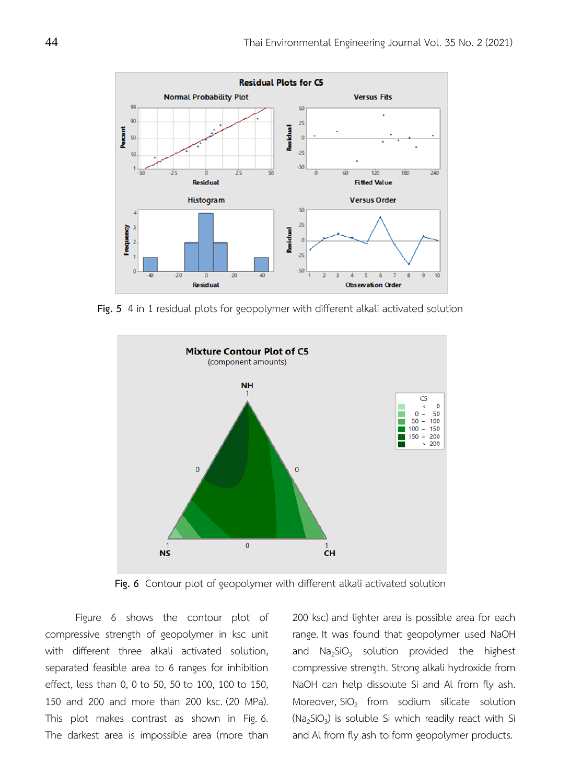

**Fig. 5** 4 in 1 residual plots for geopolymer with different alkali activated solution



**Fig. 6** Contour plot of geopolymer with different alkali activated solution

Figure 6 shows the contour plot of compressive strength of geopolymer in ksc unit with different three alkali activated solution, separated feasible area to 6 ranges for inhibition effect, less than 0, 0 to 50, 50 to 100, 100 to 150, 150 and 200 and more than 200 ksc. (20 MPa). This plot makes contrast as shown in Fig. 6. The darkest area is impossible area (more than

200 ksc) and lighter area is possible area for each range. It was found that geopolymer used NaOH and  $Na<sub>2</sub>SiO<sub>3</sub>$  solution provided the highest compressive strength. Strong alkali hydroxide from NaOH can help dissolute Si and Al from fly ash. Moreover,  $SiO<sub>2</sub>$  from sodium silicate solution  $(Na<sub>2</sub>SiO<sub>3</sub>)$  is soluble Si which readily react with Si and Al from fly ash to form geopolymer products.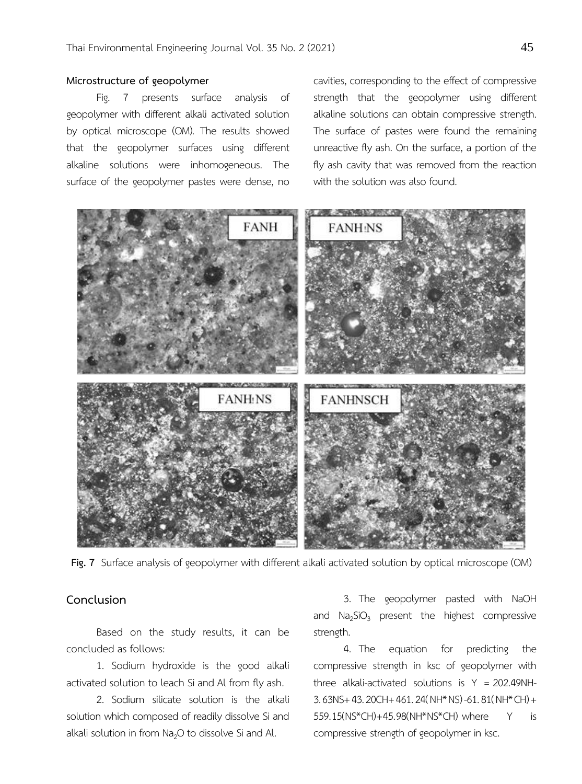#### **Microstructure of geopolymer**

Fig. 7 presents surface analysis of geopolymer with different alkali activated solution by optical microscope (OM). The results showed that the geopolymer surfaces using different alkaline solutions were inhomogeneous. The surface of the geopolymer pastes were dense, no

cavities, corresponding to the effect of compressive strength that the geopolymer using different alkaline solutions can obtain compressive strength. The surface of pastes were found the remaining unreactive fly ash. On the surface, a portion of the fly ash cavity that was removed from the reaction with the solution was also found.



**Fig. 7** Surface analysis of geopolymer with different alkali activated solution by optical microscope (OM)

## **Conclusion**

Based on the study results, it can be concluded as follows:

1. Sodium hydroxide is the good alkali activated solution to leach Si and Al from fly ash.

2. Sodium silicate solution is the alkali solution which composed of readily dissolve Si and alkali solution in from  $Na<sub>2</sub>O$  to dissolve Si and Al.

3. The geopolymer pasted with NaOH and  $Na<sub>2</sub>SiO<sub>3</sub>$  present the highest compressive strength.

4. The equation for predicting the compressive strength in ksc of geopolymer with three alkali-activated solutions is  $Y = 202.49$ NH-3.63NS+43.20CH+461.24(NH\*NS)-61.81(NH\*CH)+ 559.15(NS\*CH)+45.98(NH\*NS\*CH) where Y is compressive strength of geopolymer in ksc.